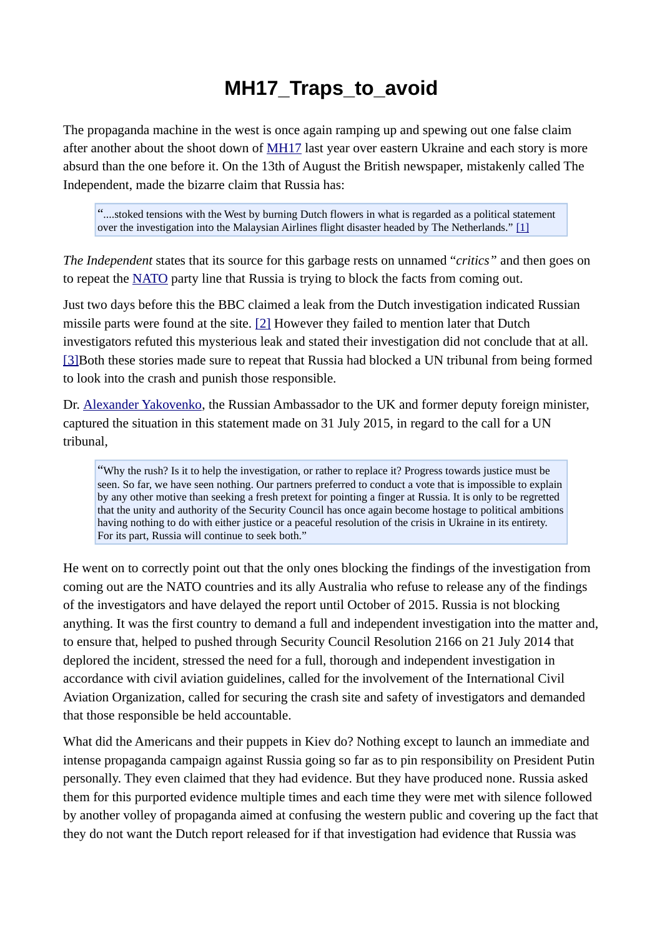## **MH17\_Traps\_to\_avoid**

The propaganda machine in the west is once again ramping up and spewing out one false claim after another about the shoot down of [MH17](https://wikispooks.com/wiki/MH17) last year over eastern Ukraine and each story is more absurd than the one before it. On the 13th of August the British newspaper, mistakenly called The Independent, made the bizarre claim that Russia has:

"....stoked tensions with the West by burning Dutch flowers in what is regarded as a political statement over the investigation into the Malaysian Airlines flight disaster headed by The Netherlands." [\[1\]](https://wikispooks.com/wiki/Document:MH17_And_Other_Traps_To_Avoid#cite_note-1)

*The Independent* states that its source for this garbage rests on unnamed "*critics"* and then goes on to repeat the [NATO](https://wikispooks.com/wiki/NATO) party line that Russia is trying to block the facts from coming out.

Just two days before this the BBC claimed a leak from the Dutch investigation indicated Russian missile parts were found at the site. [\[2\]](https://wikispooks.com/wiki/Document:MH17_And_Other_Traps_To_Avoid#cite_note-2) However they failed to mention later that Dutch investigators refuted this mysterious leak and stated their investigation did not conclude that at all. [\[3\]B](https://wikispooks.com/wiki/Document:MH17_And_Other_Traps_To_Avoid#cite_note-3)oth these stories made sure to repeat that Russia had blocked a UN tribunal from being formed to look into the crash and punish those responsible.

Dr. [Alexander Yakovenko,](https://wikispooks.com/w/index.php?title=Alexander_Yakovenko&action=edit&redlink=1) the Russian Ambassador to the UK and former deputy foreign minister, captured the situation in this statement made on 31 July 2015, in regard to the call for a UN tribunal,

"Why the rush? Is it to help the investigation, or rather to replace it? Progress towards justice must be seen. So far, we have seen nothing. Our partners preferred to conduct a vote that is impossible to explain by any other motive than seeking a fresh pretext for pointing a finger at Russia. It is only to be regretted that the unity and authority of the Security Council has once again become hostage to political ambitions having nothing to do with either justice or a peaceful resolution of the crisis in Ukraine in its entirety. For its part, Russia will continue to seek both."

He went on to correctly point out that the only ones blocking the findings of the investigation from coming out are the NATO countries and its ally Australia who refuse to release any of the findings of the investigators and have delayed the report until October of 2015. Russia is not blocking anything. It was the first country to demand a full and independent investigation into the matter and, to ensure that, helped to pushed through Security Council Resolution 2166 on 21 July 2014 that deplored the incident, stressed the need for a full, thorough and independent investigation in accordance with civil aviation guidelines, called for the involvement of the International Civil Aviation Organization, called for securing the crash site and safety of investigators and demanded that those responsible be held accountable.

What did the Americans and their puppets in Kiev do? Nothing except to launch an immediate and intense propaganda campaign against Russia going so far as to pin responsibility on President Putin personally. They even claimed that they had evidence. But they have produced none. Russia asked them for this purported evidence multiple times and each time they were met with silence followed by another volley of propaganda aimed at confusing the western public and covering up the fact that they do not want the Dutch report released for if that investigation had evidence that Russia was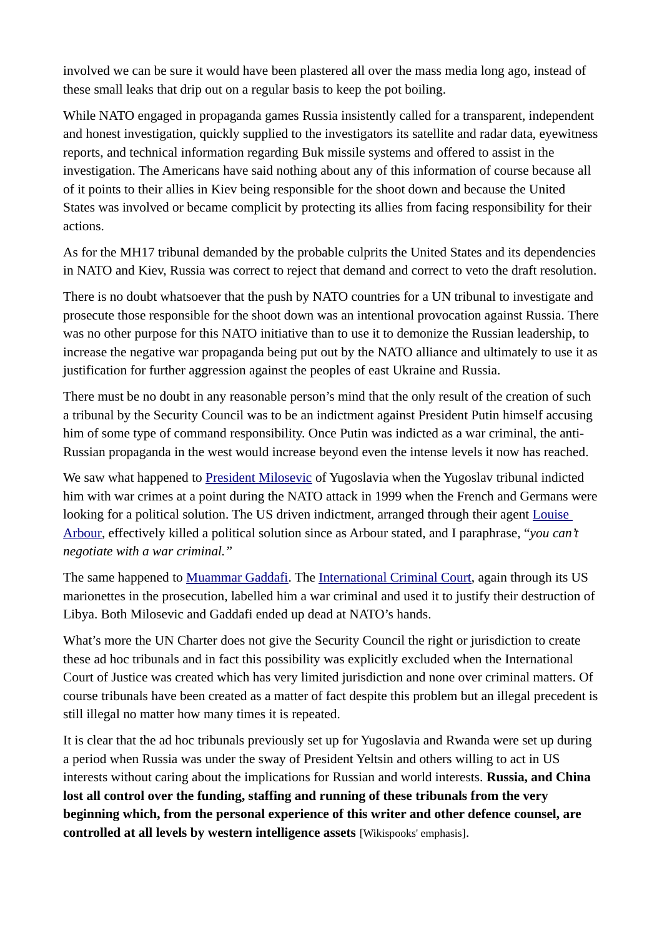involved we can be sure it would have been plastered all over the mass media long ago, instead of these small leaks that drip out on a regular basis to keep the pot boiling.

While NATO engaged in propaganda games Russia insistently called for a transparent, independent and honest investigation, quickly supplied to the investigators its satellite and radar data, eyewitness reports, and technical information regarding Buk missile systems and offered to assist in the investigation. The Americans have said nothing about any of this information of course because all of it points to their allies in Kiev being responsible for the shoot down and because the United States was involved or became complicit by protecting its allies from facing responsibility for their actions.

As for the MH17 tribunal demanded by the probable culprits the United States and its dependencies in NATO and Kiev, Russia was correct to reject that demand and correct to veto the draft resolution.

There is no doubt whatsoever that the push by NATO countries for a UN tribunal to investigate and prosecute those responsible for the shoot down was an intentional provocation against Russia. There was no other purpose for this NATO initiative than to use it to demonize the Russian leadership, to increase the negative war propaganda being put out by the NATO alliance and ultimately to use it as justification for further aggression against the peoples of east Ukraine and Russia.

There must be no doubt in any reasonable person's mind that the only result of the creation of such a tribunal by the Security Council was to be an indictment against President Putin himself accusing him of some type of command responsibility. Once Putin was indicted as a war criminal, the anti-Russian propaganda in the west would increase beyond even the intense levels it now has reached.

We saw what happened to [President Milosevic](https://wikispooks.com/wiki/Slobodan_Milosevic) of Yugoslavia when the Yugoslav tribunal indicted him with war crimes at a point during the NATO attack in 1999 when the French and Germans were looking for a political solution. The US driven indictment, arranged through their agent Louise [Arbour,](https://wikispooks.com/w/index.php?title=Louise_Arbour&action=edit&redlink=1) effectively killed a political solution since as Arbour stated, and I paraphrase, "*you can't negotiate with a war criminal."*

The same happened to [Muammar Gaddafi.](https://wikispooks.com/wiki/Muammar_Gaddafi) The [International Criminal Court,](https://wikispooks.com/wiki/International_Criminal_Court) again through its US marionettes in the prosecution, labelled him a war criminal and used it to justify their destruction of Libya. Both Milosevic and Gaddafi ended up dead at NATO's hands.

What's more the UN Charter does not give the Security Council the right or jurisdiction to create these ad hoc tribunals and in fact this possibility was explicitly excluded when the International Court of Justice was created which has very limited jurisdiction and none over criminal matters. Of course tribunals have been created as a matter of fact despite this problem but an illegal precedent is still illegal no matter how many times it is repeated.

It is clear that the ad hoc tribunals previously set up for Yugoslavia and Rwanda were set up during a period when Russia was under the sway of President Yeltsin and others willing to act in US interests without caring about the implications for Russian and world interests. **Russia, and China lost all control over the funding, staffing and running of these tribunals from the very beginning which, from the personal experience of this writer and other defence counsel, are controlled at all levels by western intelligence assets** [Wikispooks' emphasis].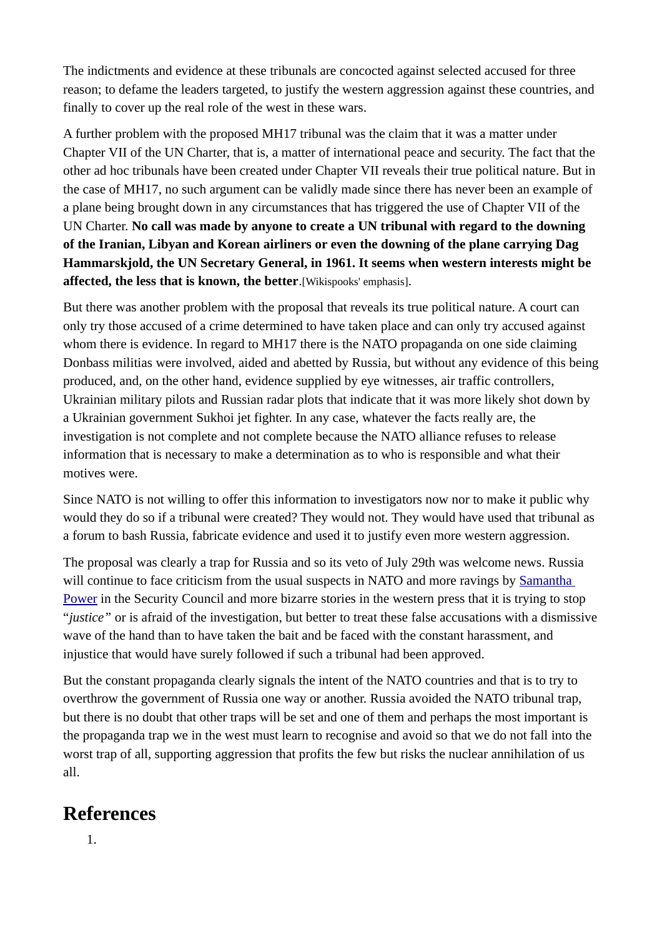The indictments and evidence at these tribunals are concocted against selected accused for three reason; to defame the leaders targeted, to justify the western aggression against these countries, and finally to cover up the real role of the west in these wars.

A further problem with the proposed MH17 tribunal was the claim that it was a matter under Chapter VII of the UN Charter, that is, a matter of international peace and security. The fact that the other ad hoc tribunals have been created under Chapter VII reveals their true political nature. But in the case of MH17, no such argument can be validly made since there has never been an example of a plane being brought down in any circumstances that has triggered the use of Chapter VII of the UN Charter. **No call was made by anyone to create a UN tribunal with regard to the downing of the Iranian, Libyan and Korean airliners or even the downing of the plane carrying Dag Hammarskjold, the UN Secretary General, in 1961. It seems when western interests might be affected, the less that is known, the better**.[Wikispooks' emphasis].

But there was another problem with the proposal that reveals its true political nature. A court can only try those accused of a crime determined to have taken place and can only try accused against whom there is evidence. In regard to MH17 there is the NATO propaganda on one side claiming Donbass militias were involved, aided and abetted by Russia, but without any evidence of this being produced, and, on the other hand, evidence supplied by eye witnesses, air traffic controllers, Ukrainian military pilots and Russian radar plots that indicate that it was more likely shot down by a Ukrainian government Sukhoi jet fighter. In any case, whatever the facts really are, the investigation is not complete and not complete because the NATO alliance refuses to release information that is necessary to make a determination as to who is responsible and what their motives were.

Since NATO is not willing to offer this information to investigators now nor to make it public why would they do so if a tribunal were created? They would not. They would have used that tribunal as a forum to bash Russia, fabricate evidence and used it to justify even more western aggression.

The proposal was clearly a trap for Russia and so its veto of July 29th was welcome news. Russia will continue to face criticism from the usual suspects in NATO and more ravings by [Samantha](https://wikispooks.com/wiki/Samantha_Power)  [Power](https://wikispooks.com/wiki/Samantha_Power) in the Security Council and more bizarre stories in the western press that it is trying to stop "*justice"* or is afraid of the investigation, but better to treat these false accusations with a dismissive wave of the hand than to have taken the bait and be faced with the constant harassment, and injustice that would have surely followed if such a tribunal had been approved.

But the constant propaganda clearly signals the intent of the NATO countries and that is to try to overthrow the government of Russia one way or another. Russia avoided the NATO tribunal trap, but there is no doubt that other traps will be set and one of them and perhaps the most important is the propaganda trap we in the west must learn to recognise and avoid so that we do not fall into the worst trap of all, supporting aggression that profits the few but risks the nuclear annihilation of us all.

## **References**